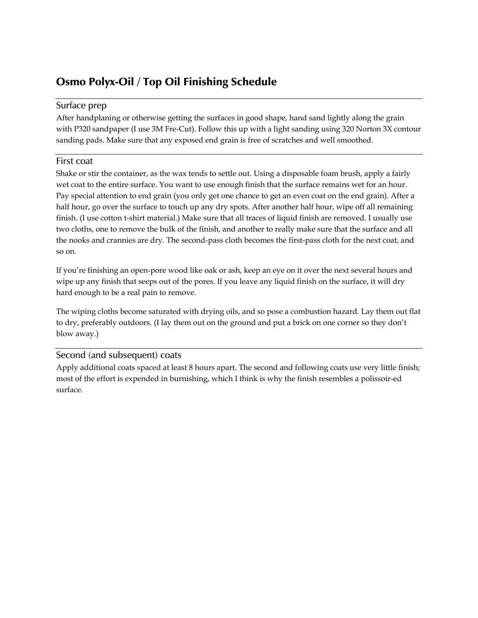# Osmo Polyx-Oil / Top Oil Finishing Schedule

## Surface prep

After handplaning or otherwise getting the surfaces in good shape, hand sand lightly along the grain with P320 sandpaper (I use 3M Fre-Cut). Follow this up with a light sanding using 320 Norton 3X contour sanding pads. Make sure that any exposed end grain is free of scratches and well smoothed.

## First coat

Shake or stir the container, as the wax tends to settle out. Using a disposable foam brush, apply a fairly wet coat to the entire surface. You want to use enough finish that the surface remains wet for an hour. Pay special attention to end grain (you only get one chance to get an even coat on the end grain). After a half hour, go over the surface to touch up any dry spots. After another half hour, wipe off all remaining finish. (I use cotton t-shirt material.) Make sure that all traces of liquid finish are removed. I usually use two cloths, one to remove the bulk of the finish, and another to really make sure that the surface and all the nooks and crannies are dry. The second-pass cloth becomes the first-pass cloth for the next coat, and so on.

If you're finishing an open-pore wood like oak or ash, keep an eye on it over the next several hours and wipe up any finish that seeps out of the pores. If you leave any liquid finish on the surface, it will dry hard enough to be a real pain to remove.

The wiping cloths become saturated with drying oils, and so pose a combustion hazard. Lay them out flat to dry, preferably outdoors. (I lay them out on the ground and put a brick on one corner so they don't blow away.)

#### Second (and subsequent) coats

Apply additional coats spaced at least 8 hours apart. The second and following coats use very little finish; most of the effort is expended in burnishing, which I think is why the finish resembles a polissoir-ed surface.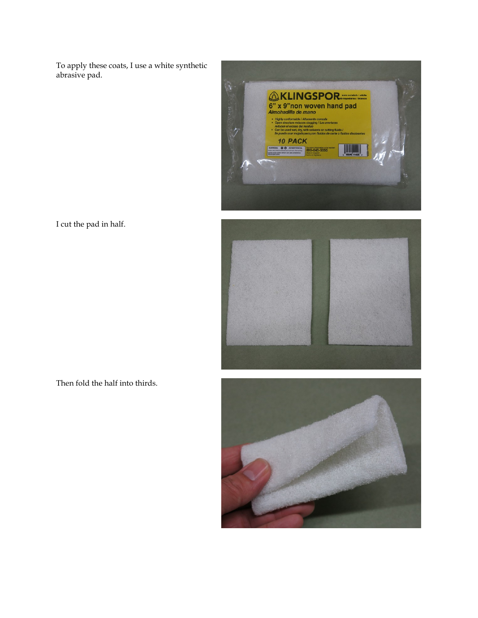To apply these coats, I use a white synthetic abrasive pad.



I cut the pad in half.



Then fold the half into thirds.